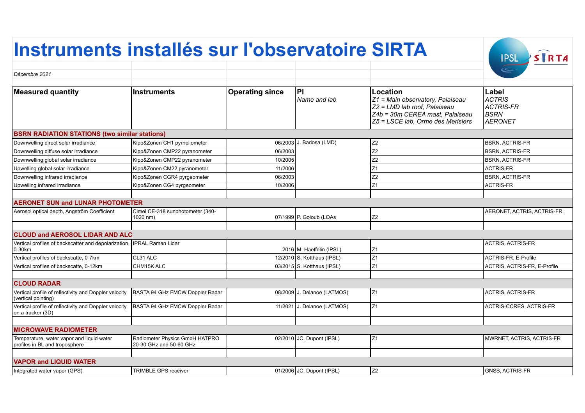## **Instruments installés sur l'observatoire SIRTA** STRTA **IPSL** *Décembre 2021* **Measured quantity**  $\qquad$  **| Instruments**  $\qquad$  | Operating since | PI **Location Label** *Name and lab Z1 = Main observatory, Palaiseau ACTRIS Z2 = LMD lab roof, Palaiseau ACTRIS-FR*

*Z4b = 30m CEREA mast, Palaiseau Z5 = LSCE lab, Orme des Merisiers*

*BSRN AERONET*

| <b>BSRN RADIATION STATI</b><br>ATIONS (two similar stations) |  |  |  |
|--------------------------------------------------------------|--|--|--|
|                                                              |  |  |  |

| Downwelling direct solar irradiance         | Kipp&Zonen CH1 pyrheliometer                 |         | 06/2003 J. Badosa (LMD) | Z <sub>2</sub> | <b>BSRN, ACTRIS-FR</b>     |  |
|---------------------------------------------|----------------------------------------------|---------|-------------------------|----------------|----------------------------|--|
| Downwelling diffuse solar irradiance        | Kipp&Zonen CMP22 pyranometer                 | 06/2003 |                         | Z <sub>2</sub> | <b>BSRN, ACTRIS-FR</b>     |  |
| Downwelling global solar irradiance         | Kipp&Zonen CMP22 pyranometer                 | 10/2005 |                         | Z <sub>2</sub> | <b>BSRN, ACTRIS-FR</b>     |  |
| Upwelling global solar irradiance           | Kipp&Zonen CM22 pyranometer                  | 11/2006 |                         |                | ACTRIS-FR                  |  |
| Downwelling infrared irradiance             | Kipp&Zonen CGR4 pyrgeometer                  | 06/2003 |                         | Z <sub>2</sub> | <b>BSRN. ACTRIS-FR</b>     |  |
| Upwelling infrared irradiance               | Kipp&Zonen CG4 pyrgeometer                   | 10/2006 |                         |                | <b>ACTRIS-FR</b>           |  |
|                                             |                                              |         |                         |                |                            |  |
| <b>AERONET SUN and LUNAR PHOTOMETER</b>     |                                              |         |                         |                |                            |  |
| Aerosol optical depth, Angström Coefficient | Cimel CE-318 sunphotometer (340-<br>1020 nm) |         | 07/1999 P. Goloub (LOAs | Z <sub>2</sub> | AERONET, ACTRIS, ACTRIS-FR |  |
|                                             |                                              |         |                         |                |                            |  |
| <b>CLOUD and AEROSOL LIDAR AND ALC</b>      |                                              |         |                         |                |                            |  |

| Vertical profiles of backscatter and depolarization, IPRAL Raman Lidar                  |                   |  |                              |     | ACTRIS, ACTRIS-FR            |  |  |
|-----------------------------------------------------------------------------------------|-------------------|--|------------------------------|-----|------------------------------|--|--|
| $10-30km$                                                                               |                   |  | 2016 M. Haeffelin (IPSL)     | iZ1 |                              |  |  |
| Vertical profiles of backscatte, 0-7km                                                  | ICL31 ALC         |  | 12/2010 S. Kotthaus (IPSL)   |     | ACTRIS-FR, E-Profile         |  |  |
| Vertical profiles of backscatte, 0-12km                                                 | <b>CHM15K ALC</b> |  | $03/2015$ S. Kotthaus (IPSL) |     | ACTRIS, ACTRIS-FR, E-Profile |  |  |
|                                                                                         |                   |  |                              |     |                              |  |  |
| <b>CLOUD RADAR</b>                                                                      |                   |  |                              |     |                              |  |  |
| Vertical profile of reflectivity and Doppler velocity   BASTA 94 GHz FMCW Doppler Radar |                   |  | 08/2009 J. Delanoe (LATMOS)  | IZ1 | ACTRIS, ACTRIS-FR            |  |  |

| (vertical pointing)                                                                                          |                                                           |  |                             |                |                           |  |  |
|--------------------------------------------------------------------------------------------------------------|-----------------------------------------------------------|--|-----------------------------|----------------|---------------------------|--|--|
| Vertical profile of reflectivity and Doppler velocity   BASTA 94 GHz FMCW Doppler Radar<br>on a tracker (3D) |                                                           |  | 11/2021 J. Delanoe (LATMOS) | Z1             | ACTRIS-CCRES, ACTRIS-FR   |  |  |
|                                                                                                              |                                                           |  |                             |                |                           |  |  |
| <b>MICROWAVE RADIOMETER</b>                                                                                  |                                                           |  |                             |                |                           |  |  |
| Temperature, water vapor and liquid water<br>profiles in BL and troposphere                                  | Radiometer Physics GmbH HATPRO<br>20-30 GHz and 50-60 GHz |  | $02/2010$ JC. Dupont (IPSL) | Z1             | MWRNET, ACTRIS, ACTRIS-FR |  |  |
|                                                                                                              |                                                           |  |                             |                |                           |  |  |
| <b>VAPOR and LIQUID WATER</b>                                                                                |                                                           |  |                             |                |                           |  |  |
| Integrated water vapor (GPS)                                                                                 | <b>TRIMBLE GPS receiver</b>                               |  | 01/2006 JC. Dupont (IPSL)   | Z <sub>2</sub> | <b>GNSS, ACTRIS-FR</b>    |  |  |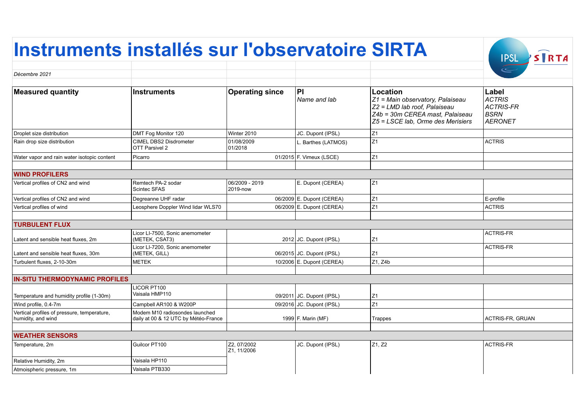## **Instruments installés sur l'observatoire SIRTA**

|                                                                   |                                                                        |                            |                           |                                                                                                                                                             | $\leq$                                                               |
|-------------------------------------------------------------------|------------------------------------------------------------------------|----------------------------|---------------------------|-------------------------------------------------------------------------------------------------------------------------------------------------------------|----------------------------------------------------------------------|
| Décembre 2021                                                     |                                                                        |                            |                           |                                                                                                                                                             |                                                                      |
|                                                                   |                                                                        |                            |                           |                                                                                                                                                             |                                                                      |
| <b>Measured quantity</b>                                          | <b>Instruments</b>                                                     | <b>Operating since</b>     | PI<br>Name and lab        | <b>Location</b><br>Z1 = Main observatory, Palaiseau<br>Z2 = LMD lab roof, Palaiseau<br>Z4b = 30m CEREA mast, Palaiseau<br>Z5 = LSCE lab, Orme des Merisiers | Label<br><b>ACTRIS</b><br><b>ACTRIS-FR</b><br>BSRN<br><b>AERONET</b> |
| Droplet size distribution                                         | DMT Fog Monitor 120                                                    | Winter 2010                | JC. Dupont (IPSL)         | Z1                                                                                                                                                          |                                                                      |
| Rain drop size distribution                                       | CIMEL DBS2 Disdrometer<br>OTT Parsivel 2                               | 01/08/2009<br>01/2018      | L. Barthes (LATMOS)       | Z1                                                                                                                                                          | <b>ACTRIS</b>                                                        |
| Water vapor and rain water isotopic content                       | Picarro                                                                |                            | 01/2015 F. Vimeux (LSCE)  | Z1                                                                                                                                                          |                                                                      |
|                                                                   |                                                                        |                            |                           |                                                                                                                                                             |                                                                      |
| <b>WIND PROFILERS</b>                                             |                                                                        |                            |                           |                                                                                                                                                             |                                                                      |
| Vertical profiles of CN2 and wind                                 | Remtech PA-2 sodar<br>Scintec SFAS                                     | 06/2009 - 2019<br>2019-now | E. Dupont (CEREA)         | Z1                                                                                                                                                          |                                                                      |
| Vertical profiles of CN2 and wind                                 | Degreanne UHF radar                                                    |                            | 06/2009 E. Dupont (CEREA) | Z1                                                                                                                                                          | E-profile                                                            |
| Vertical profiles of wind                                         | Leosphere Doppler Wind lidar WLS70                                     |                            | 06/2009 E. Dupont (CEREA) | Z1                                                                                                                                                          | <b>ACTRIS</b>                                                        |
|                                                                   |                                                                        |                            |                           |                                                                                                                                                             |                                                                      |
| <b>TURBULENT FLUX</b>                                             |                                                                        |                            |                           |                                                                                                                                                             |                                                                      |
| Latent and sensible heat fluxes, 2m                               | Licor Ll-7500, Sonic anemometer<br>(METEK, CSAT3)                      |                            | 2012 JC. Dupont (IPSL)    | Z1                                                                                                                                                          | <b>ACTRIS-FR</b>                                                     |
| Latent and sensible heat fluxes, 30m                              | Licor Ll-7200, Sonic anemometer<br>(METEK, GILL)                       |                            | 06/2015 JC. Dupont (IPSL) | Z1                                                                                                                                                          | <b>ACTRIS-FR</b>                                                     |
| Turbulent fluxes, 2-10-30m                                        | <b>METEK</b>                                                           |                            | 10/2006 E. Dupont (CEREA) | Z1, Z4b                                                                                                                                                     |                                                                      |
|                                                                   |                                                                        |                            |                           |                                                                                                                                                             |                                                                      |
| <b>IN-SITU THERMODYNAMIC PROFILES</b>                             |                                                                        |                            |                           |                                                                                                                                                             |                                                                      |
| Temperature and humidity profile (1-30m)                          | LICOR PT100<br>Vaisala HMP110                                          |                            | 09/2011 JC. Dupont (IPSL) | Z1                                                                                                                                                          |                                                                      |
| Wind profile, 0.4-7m                                              | Campbell AR100 & W200P                                                 |                            | 09/2016 JC. Dupont (IPSL) | Z1                                                                                                                                                          |                                                                      |
| Vertical profiles of pressure, temperature,<br>humidity, and wind | Modem M10 radiosondes launched<br>daily at 00 & 12 UTC by Météo-France |                            | 1999 F. Marin (MF)        | Trappes                                                                                                                                                     | <b>ACTRIS-FR, GRUAN</b>                                              |
|                                                                   |                                                                        |                            |                           |                                                                                                                                                             |                                                                      |
| <b>WEATHER SENSORS</b>                                            |                                                                        |                            |                           |                                                                                                                                                             |                                                                      |
| Temperature, 2m                                                   | Guilcor PT100                                                          | Z2, 07/2002<br>Z1, 11/2006 | JC. Dupont (IPSL)         | Z1, Z2                                                                                                                                                      | ACTRIS-FR                                                            |
| Relative Humidity, 2m                                             | Vaisala HP110                                                          |                            |                           |                                                                                                                                                             |                                                                      |
| Atmoispheric pressure, 1m                                         | Vaisala PTB330                                                         |                            |                           |                                                                                                                                                             |                                                                      |

**IPSL** STRTA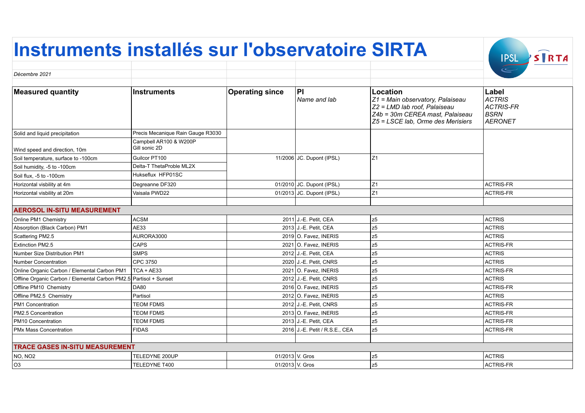## **Instruments installés sur l'observatoire SIRTA** IPSL STRTA *Décembre 2021*

| Decembre 2021                                                     |                                         |                        |                                |                                                                                                                                                      |                                                                      |
|-------------------------------------------------------------------|-----------------------------------------|------------------------|--------------------------------|------------------------------------------------------------------------------------------------------------------------------------------------------|----------------------------------------------------------------------|
| <b>Measured quantity</b>                                          | <b>Instruments</b>                      | <b>Operating since</b> | P <br>Name and lab             | Location<br>Z1 = Main observatory, Palaiseau<br>Z2 = LMD lab roof, Palaiseau<br>Z4b = 30m CEREA mast, Palaiseau<br>Z5 = LSCE lab, Orme des Merisiers | Label<br><b>ACTRIS</b><br><b>ACTRIS-FR</b><br><b>BSRN</b><br>AERONET |
| Solid and liquid precipitation                                    | Precis Mecanique Rain Gauge R3030       |                        |                                |                                                                                                                                                      |                                                                      |
| Wind speed and direction, 10m                                     | Campbell AR100 & W200P<br>Gill sonic 2D |                        |                                |                                                                                                                                                      |                                                                      |
| Soil temperature, surface to -100cm                               | Guilcor PT100                           |                        | 11/2006 JC. Dupont (IPSL)      | Z1                                                                                                                                                   |                                                                      |
| Soil humidity, -5 to -100cm                                       | Delta-T ThetaProble ML2X                |                        |                                |                                                                                                                                                      |                                                                      |
| Soil flux. -5 to -100cm                                           | Hukseflux HFP01SC                       |                        |                                |                                                                                                                                                      |                                                                      |
| Horizontal visbility at 4m                                        | Degreanne DF320                         |                        | 01/2010 JC. Dupont (IPSL)      | Z1                                                                                                                                                   | <b>ACTRIS-FR</b>                                                     |
| Horizontal visbility at 20m                                       | Vaisala PWD22                           |                        | 01/2013 JC. Dupont (IPSL)      | Z1                                                                                                                                                   | <b>ACTRIS-FR</b>                                                     |
|                                                                   |                                         |                        |                                |                                                                                                                                                      |                                                                      |
| <b>AEROSOL IN-SITU MEASUREMENT</b>                                |                                         |                        |                                |                                                                                                                                                      |                                                                      |
| Online PM1 Chemistry                                              | <b>ACSM</b>                             |                        | 2011 J.-E. Petit, CEA          | z5                                                                                                                                                   | <b>ACTRIS</b>                                                        |
| Absorption (Black Carbon) PM1                                     | <b>AE33</b>                             |                        | 2013 J.-E. Petit, CEA          | z5                                                                                                                                                   | <b>ACTRIS</b>                                                        |
| Scattering PM2.5                                                  | AURORA3000                              |                        | 2019 O. Favez, INERIS          | z5                                                                                                                                                   | <b>ACTRIS</b>                                                        |
| <b>Extinction PM2.5</b>                                           | <b>CAPS</b>                             |                        | 2021 O. Favez, INERIS          | z5                                                                                                                                                   | ACTRIS-FR                                                            |
| <b>Number Size Distribution PM1</b>                               | <b>SMPS</b>                             |                        | 2012 J.-E. Petit, CEA          | z5                                                                                                                                                   | <b>ACTRIS</b>                                                        |
| <b>Number Concentration</b>                                       | CPC 3750                                |                        | 2020 J.-E. Petit, CNRS         | z5                                                                                                                                                   | <b>ACTRIS</b>                                                        |
| Online Organic Carbon / Elemental Carbon PM1   TCA + AE33         |                                         |                        | 2021 O. Favez, INERIS          | z5                                                                                                                                                   | <b>ACTRIS-FR</b>                                                     |
| Offline Organic Carbon / Elemental Carbon PM2.5 Partisol + Sunset |                                         |                        | 2012 J.-E. Petit, CNRS         | z5                                                                                                                                                   | <b>ACTRIS</b>                                                        |
| Offline PM10 Chemistry                                            | <b>DA80</b>                             |                        | 2016 O. Favez, INERIS          | z5                                                                                                                                                   | <b>ACTRIS-FR</b>                                                     |
| Offline PM2.5 Chemistry                                           | Partisol                                |                        | 2012 O. Favez. INERIS          | z5                                                                                                                                                   | <b>ACTRIS</b>                                                        |
| PM1 Concentration                                                 | <b>TEOM FDMS</b>                        |                        | 2012 J.-E. Petit, CNRS         | z5                                                                                                                                                   | <b>ACTRIS-FR</b>                                                     |
| PM2.5 Concentration                                               | <b>TEOM FDMS</b>                        |                        | 2013 O. Favez. INERIS          | lz5                                                                                                                                                  | <b>ACTRIS-FR</b>                                                     |
| PM10 Concentration                                                | <b>TEOM FDMS</b>                        |                        | 2013 J.-E. Petit, CEA          | z5                                                                                                                                                   | <b>ACTRIS-FR</b>                                                     |
| PMx Mass Concentration                                            | <b>FIDAS</b>                            |                        | 2016 J.-E. Petit / R.S.E., CEA | z5                                                                                                                                                   | <b>ACTRIS-FR</b>                                                     |
|                                                                   |                                         |                        |                                |                                                                                                                                                      |                                                                      |
| <b>TRACE GASES IN-SITU MEASUREMENT</b>                            |                                         |                        |                                |                                                                                                                                                      |                                                                      |
| NO, NO <sub>2</sub>                                               | TELEDYNE 200UP                          |                        | 01/2013 V. Gros                | z5                                                                                                                                                   | <b>ACTRIS</b>                                                        |
| O <sub>3</sub>                                                    | TELEDYNE T400                           |                        | 01/2013 V. Gros                | z5                                                                                                                                                   | <b>ACTRIS-FR</b>                                                     |